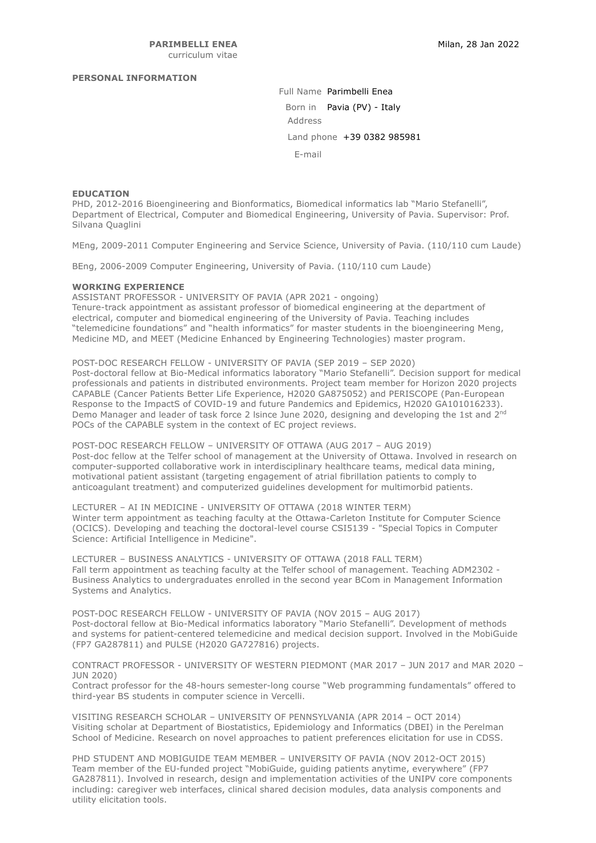### **PERSONAL INFORMATION**

Full Name Parimbelli Enea Born in Pavia (PV) - Italy Address Land phone +39 0382 985981 E-mail

## **EDUCATION**

PHD, 2012-2016 Bioengineering and Bionformatics, Biomedical informatics lab "Mario Stefanelli", Department of Electrical, Computer and Biomedical Engineering, University of Pavia. Supervisor: Prof. Silvana Quaglini

MEng, 2009-2011 Computer Engineering and Service Science, University of Pavia. (110/110 cum Laude)

BEng, 2006-2009 Computer Engineering, University of Pavia. (110/110 cum Laude)

#### **WORKING EXPERIENCE**

ASSISTANT PROFESSOR - UNIVERSITY OF PAVIA (APR 2021 - ongoing) Tenure-track appointment as assistant professor of biomedical engineering at the department of electrical, computer and biomedical engineering of the University of Pavia. Teaching includes "telemedicine foundations" and "health informatics" for master students in the bioengineering Meng, Medicine MD, and MEET (Medicine Enhanced by Engineering Technologies) master program.

POST-DOC RESEARCH FELLOW - UNIVERSITY OF PAVIA (SEP 2019 – SEP 2020) Post-doctoral fellow at Bio-Medical informatics laboratory "Mario Stefanelli". Decision support for medical professionals and patients in distributed environments. Project team member for Horizon 2020 projects CAPABLE (Cancer Patients Better Life Experience, H2020 GA875052) and PERISCOPE (Pan-European Response to the ImpactS of COVID-19 and future Pandemics and Epidemics, H2020 GA101016233). Demo Manager and leader of task force 2 Isince June 2020, designing and developing the 1st and 2<sup>nd</sup> POCs of the CAPABLE system in the context of EC project reviews.

POST-DOC RESEARCH FELLOW – UNIVERSITY OF OTTAWA (AUG 2017 – AUG 2019) Post-doc fellow at the Telfer school of management at the University of Ottawa. Involved in research on computer-supported collaborative work in interdisciplinary healthcare teams, medical data mining, motivational patient assistant (targeting engagement of atrial fibrillation patients to comply to anticoagulant treatment) and computerized guidelines development for multimorbid patients.

LECTURER – AI IN MEDICINE - UNIVERSITY OF OTTAWA (2018 WINTER TERM) Winter term appointment as teaching faculty at the Ottawa-Carleton Institute for Computer Science (OCICS). Developing and teaching the doctoral-level course CSI5139 - "Special Topics in Computer Science: Artificial Intelligence in Medicine".

LECTURER – BUSINESS ANALYTICS - UNIVERSITY OF OTTAWA (2018 FALL TERM) Fall term appointment as teaching faculty at the Telfer school of management. Teaching ADM2302 - Business Analytics to undergraduates enrolled in the second year BCom in Management Information Systems and Analytics.

POST-DOC RESEARCH FELLOW - UNIVERSITY OF PAVIA (NOV 2015 – AUG 2017) Post-doctoral fellow at Bio-Medical informatics laboratory "Mario Stefanelli". Development of methods and systems for patient-centered telemedicine and medical decision support. Involved in the MobiGuide (FP7 GA287811) and PULSE (H2020 GA727816) projects.

CONTRACT PROFESSOR - UNIVERSITY OF WESTERN PIEDMONT (MAR 2017 – JUN 2017 and MAR 2020 – JUN 2020)

Contract professor for the 48-hours semester-long course "Web programming fundamentals" offered to third-year BS students in computer science in Vercelli.

VISITING RESEARCH SCHOLAR – UNIVERSITY OF PENNSYLVANIA (APR 2014 – OCT 2014) Visiting scholar at Department of Biostatistics, Epidemiology and Informatics (DBEI) in the Perelman School of Medicine. Research on novel approaches to patient preferences elicitation for use in CDSS.

PHD STUDENT AND MOBIGUIDE TEAM MEMBER – UNIVERSITY OF PAVIA (NOV 2012-OCT 2015) Team member of the EU-funded project "MobiGuide, guiding patients anytime, everywhere" (FP7 GA287811). Involved in research, design and implementation activities of the UNIPV core components including: caregiver web interfaces, clinical shared decision modules, data analysis components and utility elicitation tools.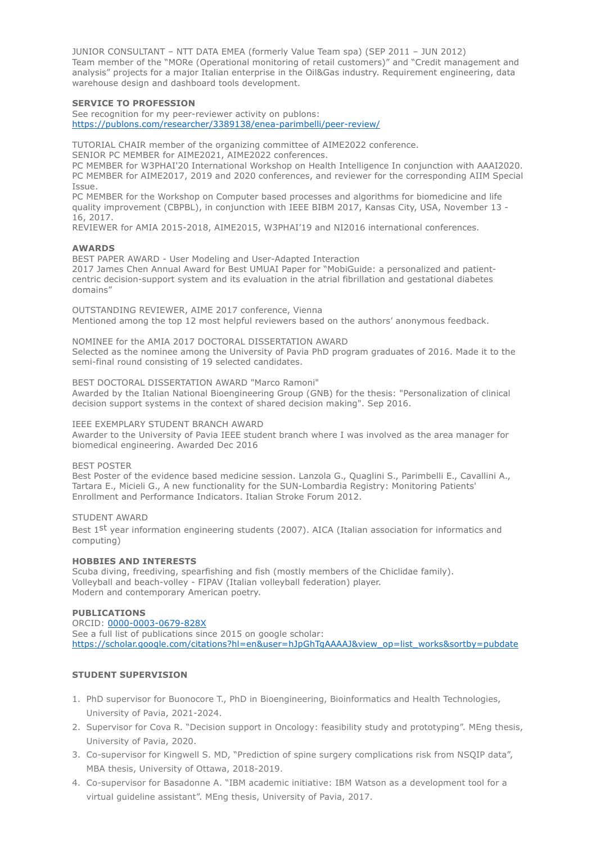JUNIOR CONSULTANT – NTT DATA EMEA (formerly Value Team spa) (SEP 2011 – JUN 2012) Team member of the "MORe (Operational monitoring of retail customers)" and "Credit management and analysis" projects for a major Italian enterprise in the Oil&Gas industry. Requirement engineering, data warehouse design and dashboard tools development.

### **SERVICE TO PROFESSION**

See recognition for my peer-reviewer activity on publons: https://publons.com/researcher/3389138/enea-parimbelli/peer-review/

TUTORIAL CHAIR member of the organizing committee of AIME2022 conference.

SENIOR PC MEMBER for AIME2021, AIME2022 conferences.

PC MEMBER for W3PHAI'20 International Workshop on Health Intelligence In conjunction with AAAI2020. PC MEMBER for AIME2017, 2019 and 2020 conferences, and reviewer for the corresponding AIIM Special Issue.

PC MEMBER for the Workshop on Computer based processes and algorithms for biomedicine and life quality improvement (CBPBL), in conjunction with IEEE BIBM 2017, Kansas City, USA, November 13 - 16, 2017.

REVIEWER for AMIA 2015-2018, AIME2015, W3PHAI'19 and NI2016 international conferences.

## **AWARDS**

BEST PAPER AWARD - User Modeling and User-Adapted Interaction 2017 James Chen Annual Award for Best UMUAI Paper for "MobiGuide: a personalized and patientcentric decision-support system and its evaluation in the atrial fibrillation and gestational diabetes domains"

OUTSTANDING REVIEWER, AIME 2017 conference, Vienna Mentioned among the top 12 most helpful reviewers based on the authors' anonymous feedback.

NOMINEE for the AMIA 2017 DOCTORAL DISSERTATION AWARD Selected as the nominee among the University of Pavia PhD program graduates of 2016. Made it to the semi-final round consisting of 19 selected candidates.

BEST DOCTORAL DISSERTATION AWARD "Marco Ramoni"

Awarded by the Italian National Bioengineering Group (GNB) for the thesis: "Personalization of clinical decision support systems in the context of shared decision making". Sep 2016.

## IEEE EXEMPLARY STUDENT BRANCH AWARD

Awarder to the University of Pavia IEEE student branch where I was involved as the area manager for biomedical engineering. Awarded Dec 2016

#### BEST POSTER

Best Poster of the evidence based medicine session. Lanzola G., Quaglini S., Parimbelli E., Cavallini A., Tartara E., Micieli G., A new functionality for the SUN-Lombardia Registry: Monitoring Patients' Enrollment and Performance Indicators. Italian Stroke Forum 2012.

## STUDENT AWARD

Best 1st year information engineering students (2007). AICA (Italian association for informatics and computing)

#### **HOBBIES AND INTERESTS**

Scuba diving, freediving, spearfishing and fish (mostly members of the Chiclidae family). Volleyball and beach-volley - FIPAV (Italian volleyball federation) player. Modern and contemporary American poetry.

#### **PUBLICATIONS**

ORCID: 0000-0003-0679-828X See a full list of publications since 2015 on google scholar: https://scholar.google.com/citations?hl=en&user=hJpGhTgAAAAJ&view\_op=list\_works&sortby=pubdate

# **STUDENT SUPERVISION**

- 1. PhD supervisor for Buonocore T., PhD in Bioengineering, Bioinformatics and Health Technologies, University of Pavia, 2021-2024.
- 2. Supervisor for Cova R. "Decision support in Oncology: feasibility study and prototyping". MEng thesis, University of Pavia, 2020.
- 3. Co-supervisor for Kingwell S. MD, "Prediction of spine surgery complications risk from NSQIP data", MBA thesis, University of Ottawa, 2018-2019.
- 4. Co-supervisor for Basadonne A. "IBM academic initiative: IBM Watson as a development tool for a virtual guideline assistant". MEng thesis, University of Pavia, 2017.